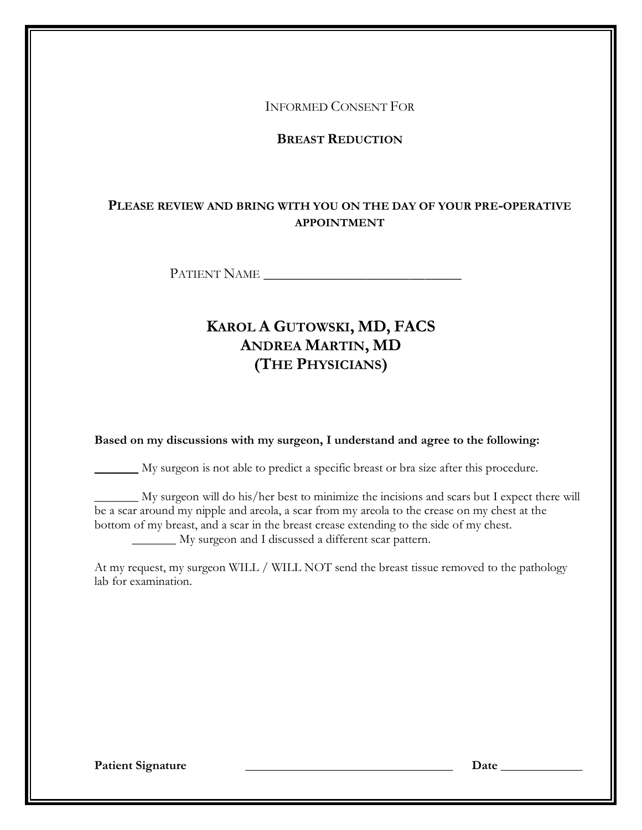INFORMED CONSENT FOR

**BREAST REDUCTION**

# **PLEASE REVIEW AND BRING WITH YOU ON THE DAY OF YOUR PRE-OPERATIVE APPOINTMENT**

PATIENT NAME \_\_\_\_\_\_\_\_\_\_\_\_\_\_\_\_\_\_\_\_\_\_\_\_\_\_\_

# **KAROL A GUTOWSKI, MD, FACS ANDREA MARTIN, MD (THE PHYSICIANS)**

**Based on my discussions with my surgeon, I understand and agree to the following:** 

\_\_\_\_\_\_\_ My surgeon is not able to predict a specific breast or bra size after this procedure.

\_\_\_\_\_\_\_ My surgeon will do his/her best to minimize the incisions and scars but I expect there will be a scar around my nipple and areola, a scar from my areola to the crease on my chest at the bottom of my breast, and a scar in the breast crease extending to the side of my chest. \_\_\_\_\_\_\_ My surgeon and I discussed a different scar pattern.

At my request, my surgeon WILL / WILL NOT send the breast tissue removed to the pathology lab for examination.

Patient Signature **Letter and Container and Container and Container and Container and Container and Container and Container and Container and Container and Container and Container and Container and Container and Container**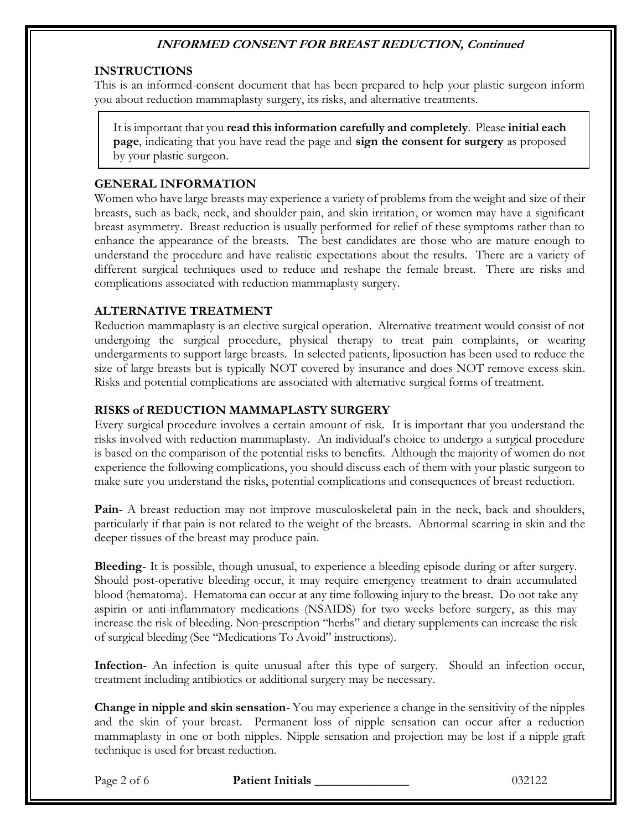## **INSTRUCTIONS**

This is an informed-consent document that has been prepared to help your plastic surgeon inform you about reduction mammaplasty surgery, its risks, and alternative treatments.

It is important that you **read this information carefully and completely**. Please **initial each page**, indicating that you have read the page and **sign the consent for surgery** as proposed by your plastic surgeon.

## **GENERAL INFORMATION**

Women who have large breasts may experience a variety of problems from the weight and size of their breasts, such as back, neck, and shoulder pain, and skin irritation, or women may have a significant breast asymmetry. Breast reduction is usually performed for relief of these symptoms rather than to enhance the appearance of the breasts. The best candidates are those who are mature enough to understand the procedure and have realistic expectations about the results. There are a variety of different surgical techniques used to reduce and reshape the female breast. There are risks and complications associated with reduction mammaplasty surgery.

## **ALTERNATIVE TREATMENT**

Reduction mammaplasty is an elective surgical operation. Alternative treatment would consist of not undergoing the surgical procedure, physical therapy to treat pain complaints, or wearing undergarments to support large breasts. In selected patients, liposuction has been used to reduce the size of large breasts but is typically NOT covered by insurance and does NOT remove excess skin. Risks and potential complications are associated with alternative surgical forms of treatment.

## **RISKS of REDUCTION MAMMAPLASTY SURGERY**

Every surgical procedure involves a certain amount of risk. It is important that you understand the risks involved with reduction mammaplasty. An individual's choice to undergo a surgical procedure is based on the comparison of the potential risks to benefits. Although the majority of women do not experience the following complications, you should discuss each of them with your plastic surgeon to make sure you understand the risks, potential complications and consequences of breast reduction.

**Pain**- A breast reduction may not improve musculoskeletal pain in the neck, back and shoulders, particularly if that pain is not related to the weight of the breasts. Abnormal scarring in skin and the deeper tissues of the breast may produce pain.

**Bleeding**- It is possible, though unusual, to experience a bleeding episode during or after surgery. Should post-operative bleeding occur, it may require emergency treatment to drain accumulated blood (hematoma). Hematoma can occur at any time following injury to the breast. Do not take any aspirin or anti-inflammatory medications (NSAIDS) for two weeks before surgery, as this may increase the risk of bleeding. Non-prescription "herbs" and dietary supplements can increase the risk of surgical bleeding (See "Medications To Avoid" instructions).

**Infection**- An infection is quite unusual after this type of surgery. Should an infection occur, treatment including antibiotics or additional surgery may be necessary.

**Change in nipple and skin sensation**- You may experience a change in the sensitivity of the nipples and the skin of your breast. Permanent loss of nipple sensation can occur after a reduction mammaplasty in one or both nipples. Nipple sensation and projection may be lost if a nipple graft technique is used for breast reduction.

Page 2 of 6 **Patient Initials 2002** 132122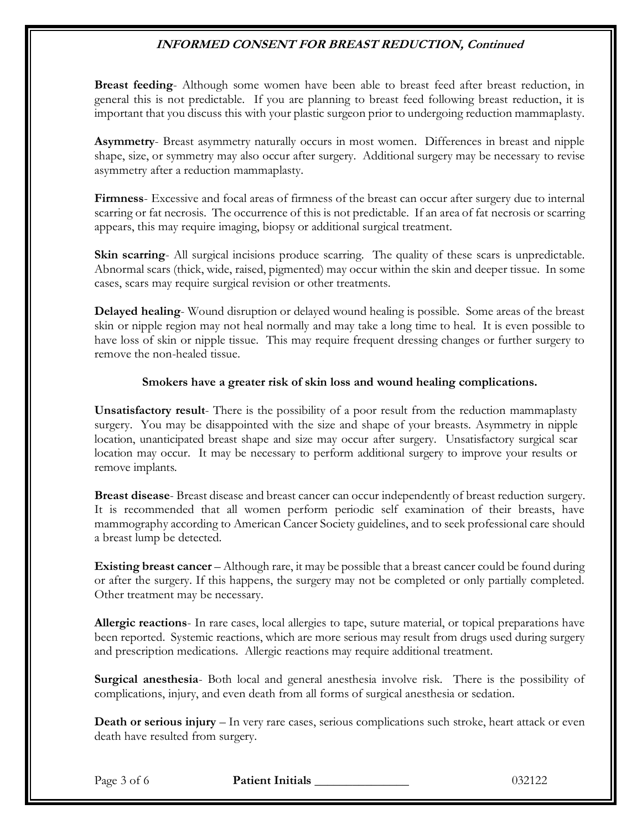**Breast feeding**- Although some women have been able to breast feed after breast reduction, in general this is not predictable. If you are planning to breast feed following breast reduction, it is important that you discuss this with your plastic surgeon prior to undergoing reduction mammaplasty.

**Asymmetry**- Breast asymmetry naturally occurs in most women. Differences in breast and nipple shape, size, or symmetry may also occur after surgery. Additional surgery may be necessary to revise asymmetry after a reduction mammaplasty.

**Firmness**- Excessive and focal areas of firmness of the breast can occur after surgery due to internal scarring or fat necrosis. The occurrence of this is not predictable. If an area of fat necrosis or scarring appears, this may require imaging, biopsy or additional surgical treatment.

**Skin scarring**- All surgical incisions produce scarring. The quality of these scars is unpredictable. Abnormal scars (thick, wide, raised, pigmented) may occur within the skin and deeper tissue. In some cases, scars may require surgical revision or other treatments.

**Delayed healing**- Wound disruption or delayed wound healing is possible. Some areas of the breast skin or nipple region may not heal normally and may take a long time to heal. It is even possible to have loss of skin or nipple tissue. This may require frequent dressing changes or further surgery to remove the non-healed tissue.

## **Smokers have a greater risk of skin loss and wound healing complications.**

**Unsatisfactory result**- There is the possibility of a poor result from the reduction mammaplasty surgery. You may be disappointed with the size and shape of your breasts. Asymmetry in nipple location, unanticipated breast shape and size may occur after surgery. Unsatisfactory surgical scar location may occur. It may be necessary to perform additional surgery to improve your results or remove implants.

**Breast disease**- Breast disease and breast cancer can occur independently of breast reduction surgery. It is recommended that all women perform periodic self examination of their breasts, have mammography according to American Cancer Society guidelines, and to seek professional care should a breast lump be detected.

**Existing breast cancer** – Although rare, it may be possible that a breast cancer could be found during or after the surgery. If this happens, the surgery may not be completed or only partially completed. Other treatment may be necessary.

**Allergic reactions**- In rare cases, local allergies to tape, suture material, or topical preparations have been reported. Systemic reactions, which are more serious may result from drugs used during surgery and prescription medications. Allergic reactions may require additional treatment.

**Surgical anesthesia**- Both local and general anesthesia involve risk. There is the possibility of complications, injury, and even death from all forms of surgical anesthesia or sedation.

**Death or serious injury** – In very rare cases, serious complications such stroke, heart attack or even death have resulted from surgery.

Page 3 of 6 **Patient Initials 2002** 132122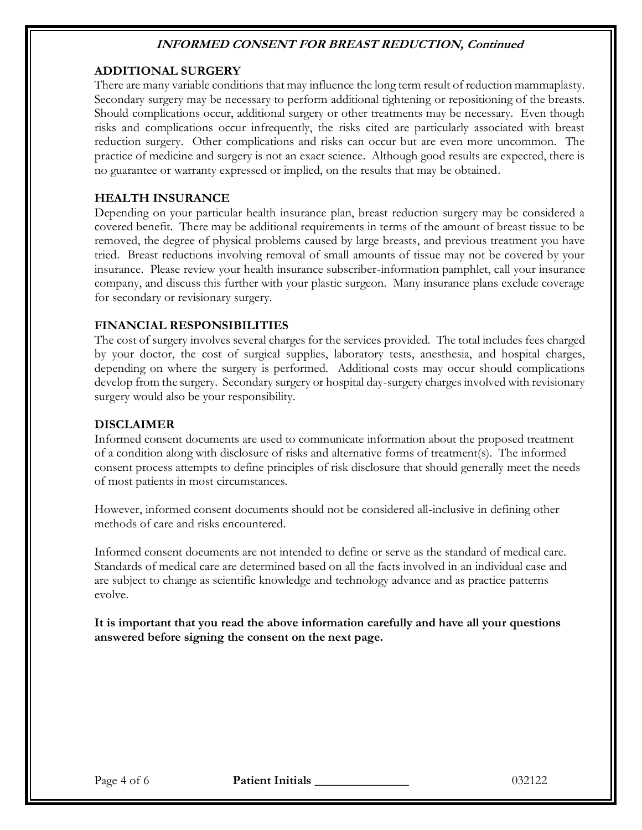## **ADDITIONAL SURGERY**

There are many variable conditions that may influence the long term result of reduction mammaplasty. Secondary surgery may be necessary to perform additional tightening or repositioning of the breasts. Should complications occur, additional surgery or other treatments may be necessary. Even though risks and complications occur infrequently, the risks cited are particularly associated with breast reduction surgery. Other complications and risks can occur but are even more uncommon. The practice of medicine and surgery is not an exact science. Although good results are expected, there is no guarantee or warranty expressed or implied, on the results that may be obtained.

## **HEALTH INSURANCE**

Depending on your particular health insurance plan, breast reduction surgery may be considered a covered benefit. There may be additional requirements in terms of the amount of breast tissue to be removed, the degree of physical problems caused by large breasts, and previous treatment you have tried. Breast reductions involving removal of small amounts of tissue may not be covered by your insurance. Please review your health insurance subscriber-information pamphlet, call your insurance company, and discuss this further with your plastic surgeon. Many insurance plans exclude coverage for secondary or revisionary surgery.

## **FINANCIAL RESPONSIBILITIES**

The cost of surgery involves several charges for the services provided. The total includes fees charged by your doctor, the cost of surgical supplies, laboratory tests, anesthesia, and hospital charges, depending on where the surgery is performed. Additional costs may occur should complications develop from the surgery. Secondary surgery or hospital day-surgery charges involved with revisionary surgery would also be your responsibility.

### **DISCLAIMER**

Informed consent documents are used to communicate information about the proposed treatment of a condition along with disclosure of risks and alternative forms of treatment(s). The informed consent process attempts to define principles of risk disclosure that should generally meet the needs of most patients in most circumstances.

However, informed consent documents should not be considered all-inclusive in defining other methods of care and risks encountered.

Informed consent documents are not intended to define or serve as the standard of medical care. Standards of medical care are determined based on all the facts involved in an individual case and are subject to change as scientific knowledge and technology advance and as practice patterns evolve.

**It is important that you read the above information carefully and have all your questions answered before signing the consent on the next page.**

Page 4 of 6 **Patient Initials 1996 Patient Initials** 132122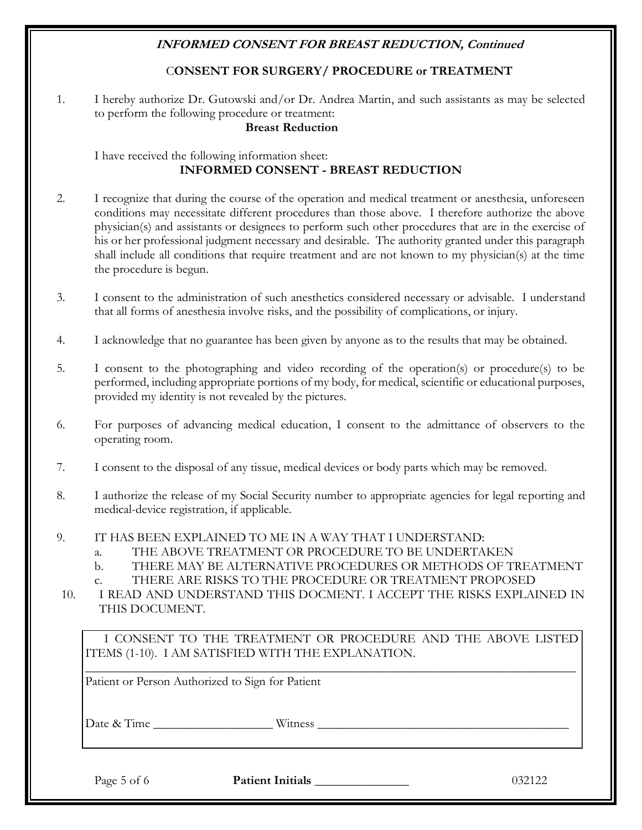# C**ONSENT FOR SURGERY/ PROCEDURE or TREATMENT**

1. I hereby authorize Dr. Gutowski and/or Dr. Andrea Martin, and such assistants as may be selected to perform the following procedure or treatment:

**Breast Reduction**

## I have received the following information sheet: **INFORMED CONSENT - BREAST REDUCTION**

- 2. I recognize that during the course of the operation and medical treatment or anesthesia, unforeseen conditions may necessitate different procedures than those above. I therefore authorize the above physician(s) and assistants or designees to perform such other procedures that are in the exercise of his or her professional judgment necessary and desirable. The authority granted under this paragraph shall include all conditions that require treatment and are not known to my physician(s) at the time the procedure is begun.
- 3. I consent to the administration of such anesthetics considered necessary or advisable. I understand that all forms of anesthesia involve risks, and the possibility of complications, or injury.
- 4. I acknowledge that no guarantee has been given by anyone as to the results that may be obtained.
- 5. I consent to the photographing and video recording of the operation(s) or procedure(s) to be performed, including appropriate portions of my body, for medical, scientific or educational purposes, provided my identity is not revealed by the pictures.
- 6. For purposes of advancing medical education, I consent to the admittance of observers to the operating room.
- 7. I consent to the disposal of any tissue, medical devices or body parts which may be removed.
- 8. I authorize the release of my Social Security number to appropriate agencies for legal reporting and medical-device registration, if applicable.
- 9. IT HAS BEEN EXPLAINED TO ME IN A WAY THAT I UNDERSTAND:
	- a. THE ABOVE TREATMENT OR PROCEDURE TO BE UNDERTAKEN
	- b. THERE MAY BE ALTERNATIVE PROCEDURES OR METHODS OF TREATMENT
	- c. THERE ARE RISKS TO THE PROCEDURE OR TREATMENT PROPOSED

10. I READ AND UNDERSTAND THIS DOCMENT. I ACCEPT THE RISKS EXPLAINED IN THIS DOCUMENT.

I CONSENT TO THE TREATMENT OR PROCEDURE AND THE ABOVE LISTED ITEMS (1-10). I AM SATISFIED WITH THE EXPLANATION. \_\_\_\_\_\_\_\_\_\_\_\_\_\_\_\_\_\_\_\_\_\_\_\_\_\_\_\_\_\_\_\_\_\_\_\_\_\_\_\_\_\_\_\_\_\_\_\_\_\_\_\_\_\_\_\_\_\_\_\_\_\_\_\_\_\_\_\_\_\_\_\_\_\_\_\_\_\_

Patient or Person Authorized to Sign for Patient

Date & Time \_\_\_\_\_\_\_\_\_\_\_\_\_\_\_\_\_\_\_ Witness \_\_\_\_\_\_\_\_\_\_\_\_\_\_\_\_\_\_\_\_\_\_\_\_\_\_\_\_\_\_\_\_\_\_\_\_\_\_\_\_

Page 5 of 6 **Patient Initials** 132122